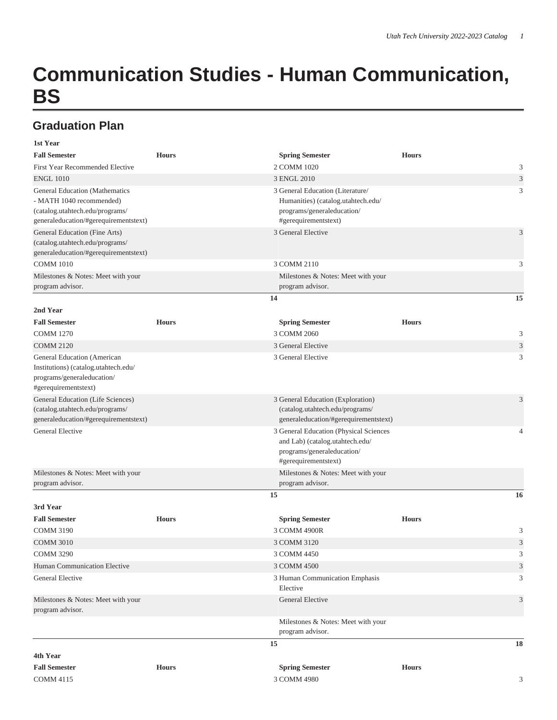## **Communication Studies - Human Communication, BS**

## **Graduation Plan**

| $\sim$<br>۰.<br>۰. | .<br>× |
|--------------------|--------|
|                    |        |

| <b>Fall Semester</b>                                                                          | <b>Hours</b> | <b>Spring Semester</b>                                                                               | <b>Hours</b> |                             |
|-----------------------------------------------------------------------------------------------|--------------|------------------------------------------------------------------------------------------------------|--------------|-----------------------------|
| First Year Recommended Elective                                                               |              | 2 COMM 1020                                                                                          |              | 3                           |
| <b>ENGL 1010</b>                                                                              |              | 3 ENGL 2010                                                                                          |              | 3                           |
| General Education (Mathematics<br>- MATH 1040 recommended)<br>(catalog.utahtech.edu/programs/ |              | 3 General Education (Literature/<br>Humanities) (catalog.utahtech.edu/<br>programs/generaleducation/ |              | 3                           |
| generaleducation/#gerequirementstext)                                                         |              | #gerequirementstext)                                                                                 |              |                             |
| General Education (Fine Arts)                                                                 |              | 3 General Elective                                                                                   |              | 3                           |
| (catalog.utahtech.edu/programs/                                                               |              |                                                                                                      |              |                             |
| generaleducation/#gerequirementstext)                                                         |              |                                                                                                      |              |                             |
| <b>COMM 1010</b>                                                                              |              | 3 COMM 2110                                                                                          |              | 3                           |
| Milestones & Notes: Meet with your                                                            |              | Milestones & Notes: Meet with your                                                                   |              |                             |
| program advisor.                                                                              |              | program advisor.                                                                                     |              |                             |
|                                                                                               |              | 14                                                                                                   |              | 15                          |
| 2nd Year                                                                                      |              |                                                                                                      |              |                             |
| <b>Fall Semester</b>                                                                          | <b>Hours</b> | <b>Spring Semester</b>                                                                               | <b>Hours</b> |                             |
| <b>COMM 1270</b>                                                                              |              | 3 COMM 2060                                                                                          |              | 3                           |
| <b>COMM 2120</b>                                                                              |              | 3 General Elective                                                                                   |              | 3                           |
| General Education (American                                                                   |              | 3 General Elective                                                                                   |              | 3                           |
| Institutions) (catalog.utahtech.edu/                                                          |              |                                                                                                      |              |                             |
| programs/generaleducation/<br>#gerequirementstext)                                            |              |                                                                                                      |              |                             |
| General Education (Life Sciences)                                                             |              | 3 General Education (Exploration)                                                                    |              | 3                           |
| (catalog.utahtech.edu/programs/<br>generaleducation/#gerequirementstext)                      |              | (catalog.utahtech.edu/programs/<br>generaleducation/#gerequirementstext)                             |              |                             |
| <b>General Elective</b>                                                                       |              | 3 General Education (Physical Sciences                                                               |              | 4                           |
|                                                                                               |              | and Lab) (catalog.utahtech.edu/                                                                      |              |                             |
|                                                                                               |              | programs/generaleducation/                                                                           |              |                             |
|                                                                                               |              | #gerequirementstext)                                                                                 |              |                             |
| Milestones & Notes: Meet with your                                                            |              | Milestones & Notes: Meet with your                                                                   |              |                             |
| program advisor.                                                                              |              | program advisor.                                                                                     |              |                             |
|                                                                                               |              | 15                                                                                                   |              | 16                          |
| 3rd Year                                                                                      |              |                                                                                                      |              |                             |
| <b>Fall Semester</b>                                                                          | <b>Hours</b> | <b>Spring Semester</b>                                                                               | <b>Hours</b> |                             |
| <b>COMM 3190</b>                                                                              |              | 3 COMM 4900R                                                                                         |              | 3                           |
| <b>COMM 3010</b>                                                                              |              | 3 COMM 3120                                                                                          |              | 3                           |
| <b>COMM 3290</b>                                                                              |              | 3 COMM 4450                                                                                          |              | $\mathcal{L}$               |
| Human Communication Elective                                                                  |              | 3 COMM 4500                                                                                          |              | $\ensuremath{\mathfrak{Z}}$ |
| General Elective                                                                              |              | 3 Human Communication Emphasis<br>Elective                                                           |              | 3                           |
| Milestones & Notes: Meet with your<br>program advisor.                                        |              | General Elective                                                                                     |              | 3                           |
|                                                                                               |              | Milestones & Notes: Meet with your<br>program advisor.                                               |              |                             |
|                                                                                               |              | 15                                                                                                   |              | 18                          |
| 4th Year                                                                                      |              |                                                                                                      |              |                             |
| <b>Fall Semester</b>                                                                          | <b>Hours</b> | <b>Spring Semester</b>                                                                               | <b>Hours</b> |                             |
| <b>COMM 4115</b>                                                                              |              | 3 COMM 4980                                                                                          |              | 3                           |